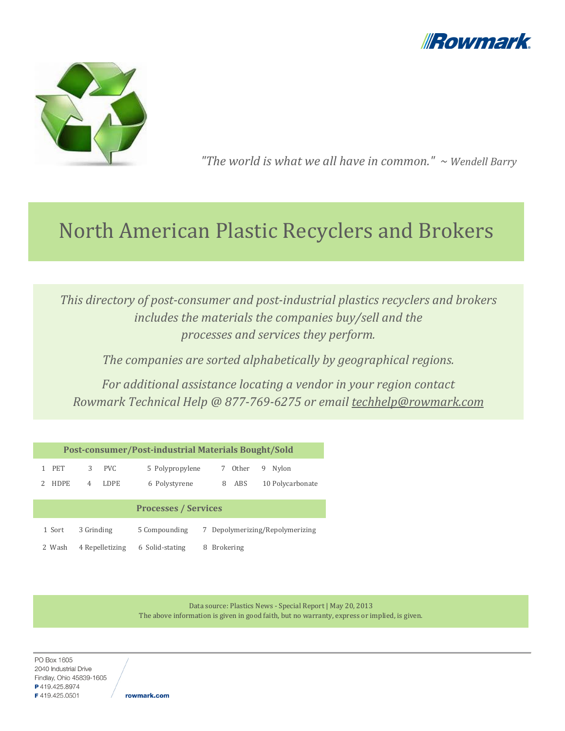



"The world is what we all have in common."  $\sim$  Wendell Barry

# North American Plastic Recyclers and Brokers

This directory of post-consumer and post-industrial plastics recyclers and brokers includes the materials the companies buy/sell and the processes and services they perform.

The companies are sorted alphabetically by geographical regions.

For additional assistance locating a vendor in your region contact Rowmark Technical Help @ 877-769-6275 or email techhelp@rowmark.com

| Post-consumer/Post-industrial Materials Bought/Sold |                  |                 |                                     |  |  |  |
|-----------------------------------------------------|------------------|-----------------|-------------------------------------|--|--|--|
| <b>PET</b>                                          | 3<br>PVC.        | 5 Polypropylene | Other<br>Nylon<br>7<br>9            |  |  |  |
| <b>HDPE</b>                                         | <b>LDPE</b><br>4 | 6 Polystyrene   | 10 Polycarbonate<br><b>ABS</b><br>8 |  |  |  |
| <b>Processes / Services</b>                         |                  |                 |                                     |  |  |  |
| 1 Sort                                              | 3 Grinding       | 5 Compounding   | Depolymerizing/Repolymerizing       |  |  |  |
| 2 Wash                                              | 4 Repelletizing  | 6 Solid-stating | <b>Brokering</b><br>8               |  |  |  |

Data source: Plastics News - Special Report | May 20, 2013 The above information is given in good faith, but no warranty, express or implied, is given.

PO Box 1605 2040 Industrial Drive Findlay, Ohio 45839-1605 P419.425.8974 F419.425.0501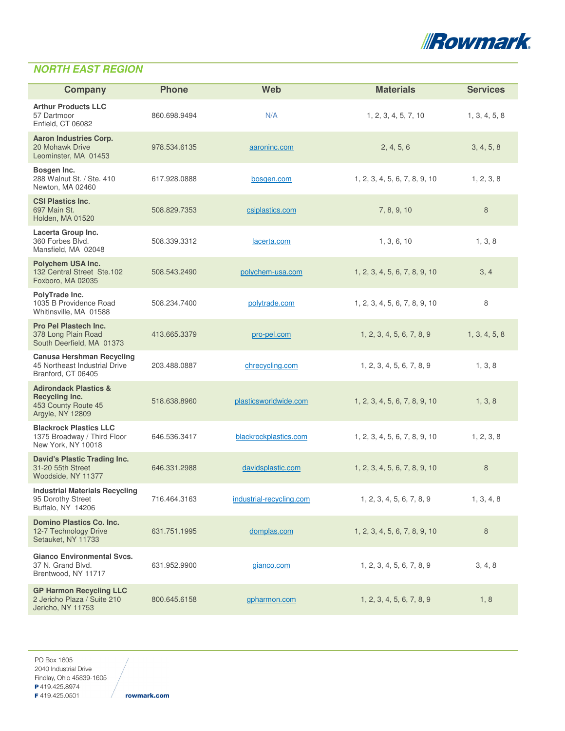

### **NORTH EAST REGION**

| <b>Company</b>                                                                                | <b>Phone</b> | Web                      | <b>Materials</b>              | <b>Services</b> |
|-----------------------------------------------------------------------------------------------|--------------|--------------------------|-------------------------------|-----------------|
| <b>Arthur Products LLC</b><br>57 Dartmoor<br>Enfield, CT 06082                                | 860.698.9494 | N/A                      | 1, 2, 3, 4, 5, 7, 10          | 1, 3, 4, 5, 8   |
| <b>Aaron Industries Corp.</b><br>20 Mohawk Drive<br>Leominster, MA 01453                      | 978.534.6135 | aaroninc.com             | 2, 4, 5, 6                    | 3, 4, 5, 8      |
| Bosgen Inc.<br>288 Walnut St. / Ste. 410<br>Newton, MA 02460                                  | 617.928.0888 | bosgen.com               | 1, 2, 3, 4, 5, 6, 7, 8, 9, 10 | 1, 2, 3, 8      |
| <b>CSI Plastics Inc.</b><br>697 Main St.<br><b>Holden, MA 01520</b>                           | 508.829.7353 | csiplastics.com          | 7, 8, 9, 10                   | 8               |
| Lacerta Group Inc.<br>360 Forbes Blvd.<br>Mansfield, MA 02048                                 | 508.339.3312 | lacerta.com              | 1, 3, 6, 10                   | 1, 3, 8         |
| <b>Polychem USA Inc.</b><br>132 Central Street Ste.102<br>Foxboro, MA 02035                   | 508.543.2490 | polychem-usa.com         | 1, 2, 3, 4, 5, 6, 7, 8, 9, 10 | 3, 4            |
| PolyTrade Inc.<br>1035 B Providence Road<br>Whitinsville, MA 01588                            | 508.234.7400 | polytrade.com            | 1, 2, 3, 4, 5, 6, 7, 8, 9, 10 | 8               |
| <b>Pro Pel Plastech Inc.</b><br>378 Long Plain Road<br>South Deerfield, MA 01373              | 413.665.3379 | pro-pel.com              | 1, 2, 3, 4, 5, 6, 7, 8, 9     | 1, 3, 4, 5, 8   |
| <b>Canusa Hershman Recycling</b><br>45 Northeast Industrial Drive<br>Branford, CT 06405       | 203.488.0887 | chrecycling.com          | 1, 2, 3, 4, 5, 6, 7, 8, 9     | 1, 3, 8         |
| <b>Adirondack Plastics &amp;</b><br>Recycling Inc.<br>453 County Route 45<br>Argyle, NY 12809 | 518.638.8960 | plasticsworldwide.com    | 1, 2, 3, 4, 5, 6, 7, 8, 9, 10 | 1, 3, 8         |
| <b>Blackrock Plastics LLC</b><br>1375 Broadway / Third Floor<br>New York, NY 10018            | 646.536.3417 | blackrockplastics.com    | 1, 2, 3, 4, 5, 6, 7, 8, 9, 10 | 1, 2, 3, 8      |
| <b>David's Plastic Trading Inc.</b><br>31-20 55th Street<br>Woodside, NY 11377                | 646.331.2988 | davidsplastic.com        | 1, 2, 3, 4, 5, 6, 7, 8, 9, 10 | 8               |
| <b>Industrial Materials Recycling</b><br>95 Dorothy Street<br>Buffalo, NY 14206               | 716.464.3163 | industrial-recycling.com | 1, 2, 3, 4, 5, 6, 7, 8, 9     | 1, 3, 4, 8      |
| <b>Domino Plastics Co. Inc.</b><br>12-7 Technology Drive<br>Setauket, NY 11733                | 631.751.1995 | domplas.com              | 1, 2, 3, 4, 5, 6, 7, 8, 9, 10 | 8               |
| <b>Gianco Environmental Svcs.</b><br>37 N. Grand Blvd.<br>Brentwood, NY 11717                 | 631.952.9900 | gianco.com               | 1, 2, 3, 4, 5, 6, 7, 8, 9     | 3, 4, 8         |
| <b>GP Harmon Recycling LLC</b><br>2 Jericho Plaza / Suite 210<br>Jericho, NY 11753            | 800.645.6158 | gpharmon.com             | 1, 2, 3, 4, 5, 6, 7, 8, 9     | 1, 8            |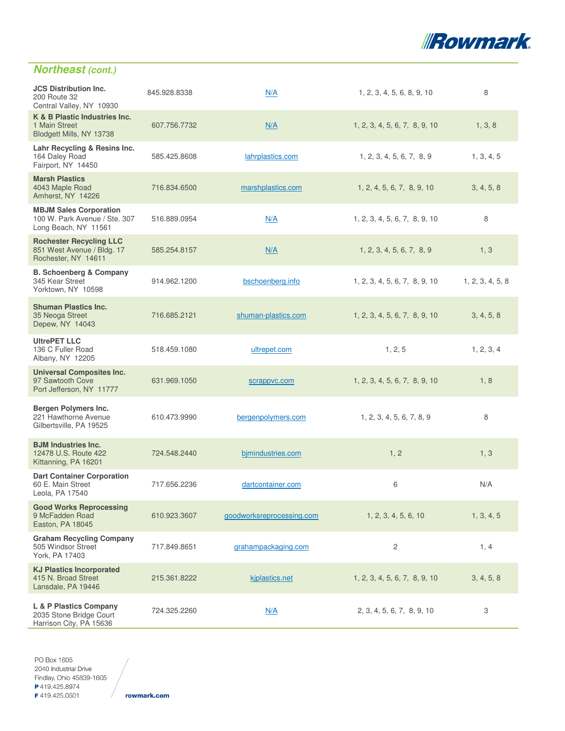

# **Northeast (cont.)**

| <b>JCS Distribution Inc.</b><br>200 Route 32<br>Central Valley, NY 10930               | 845.928.8338 | N/A                       | 1, 2, 3, 4, 5, 6, 8, 9, 10    | 8                |
|----------------------------------------------------------------------------------------|--------------|---------------------------|-------------------------------|------------------|
| K & B Plastic Industries Inc.<br>1 Main Street<br>Blodgett Mills, NY 13738             | 607.756.7732 | N/A                       | 1, 2, 3, 4, 5, 6, 7, 8, 9, 10 | 1, 3, 8          |
| Lahr Recycling & Resins Inc.<br>164 Daley Road<br>Fairport, NY 14450                   | 585.425.8608 | lahrplastics.com          | 1, 2, 3, 4, 5, 6, 7, 8, 9     | 1, 3, 4, 5       |
| <b>Marsh Plastics</b><br>4043 Maple Road<br>Amherst, NY 14226                          | 716.834.6500 | marshplastics.com         | 1, 2, 4, 5, 6, 7, 8, 9, 10    | 3, 4, 5, 8       |
| <b>MBJM Sales Corporation</b><br>100 W. Park Avenue / Ste. 307<br>Long Beach, NY 11561 | 516.889.0954 | N/A                       | 1, 2, 3, 4, 5, 6, 7, 8, 9, 10 | 8                |
| <b>Rochester Recycling LLC</b><br>851 West Avenue / Bldg. 17<br>Rochester, NY 14611    | 585.254.8157 | N/A                       | 1, 2, 3, 4, 5, 6, 7, 8, 9     | 1, 3             |
| <b>B. Schoenberg &amp; Company</b><br>345 Kear Street<br>Yorktown, NY 10598            | 914.962.1200 | bschoenberg.info          | 1, 2, 3, 4, 5, 6, 7, 8, 9, 10 | 1, 2, 3, 4, 5, 8 |
| <b>Shuman Plastics Inc.</b><br>35 Neoga Street<br>Depew, NY 14043                      | 716.685.2121 | shuman-plastics.com       | 1, 2, 3, 4, 5, 6, 7, 8, 9, 10 | 3, 4, 5, 8       |
| <b>UltrePET LLC</b><br>136 C Fuller Road<br>Albany, NY 12205                           | 518.459.1080 | ultrepet.com              | 1, 2, 5                       | 1, 2, 3, 4       |
| <b>Universal Composites Inc.</b><br>97 Sawtooth Cove<br>Port Jefferson, NY 11777       | 631.969.1050 | scrappvc.com              | 1, 2, 3, 4, 5, 6, 7, 8, 9, 10 | 1, 8             |
| Bergen Polymers Inc.<br>221 Hawthorne Avenue<br>Gilbertsville, PA 19525                | 610.473.9990 | bergenpolymers.com        | 1, 2, 3, 4, 5, 6, 7, 8, 9     | 8                |
| <b>BJM Industries Inc.</b><br>12478 U.S. Route 422<br>Kittanning, PA 16201             | 724.548.2440 | bjmindustries.com         | 1, 2                          | 1, 3             |
| <b>Dart Container Corporation</b><br>60 E. Main Street<br>Leola, PA 17540              | 717.656.2236 | dartcontainer.com         | 6                             | N/A              |
| <b>Good Works Reprocessing</b><br>9 McFadden Road<br>Easton, PA 18045                  | 610.923.3607 | goodworksreprocessing.com | 1, 2, 3, 4, 5, 6, 10          | 1, 3, 4, 5       |
| <b>Graham Recycling Company</b><br>505 Windsor Street<br>York, PA 17403                | 717.849.8651 | grahampackaging.com       | 2                             | 1, 4             |
| <b>KJ Plastics Incorporated</b><br>415 N. Broad Street<br>Lansdale, PA 19446           | 215.361.8222 | kiplastics.net            | 1, 2, 3, 4, 5, 6, 7, 8, 9, 10 | 3, 4, 5, 8       |
| L & P Plastics Company<br>2035 Stone Bridge Court<br>Harrison City, PA 15636           | 724.325.2260 | N/A                       | 2, 3, 4, 5, 6, 7, 8, 9, 10    | 3                |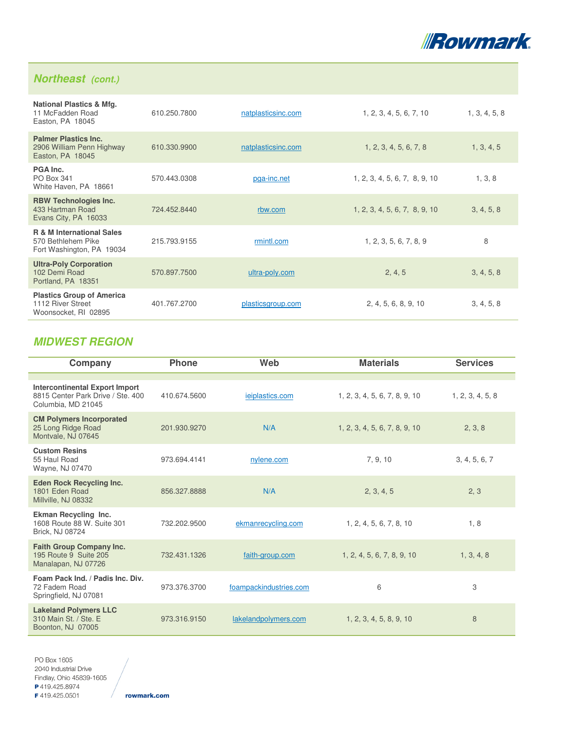

### **Northeast (cont.)**

| <b>National Plastics &amp; Mfg.</b><br>11 McFadden Road<br>Easton, PA 18045             | 610.250.7800 | natplasticsinc.com | 1, 2, 3, 4, 5, 6, 7, 10       | 1, 3, 4, 5, 8 |
|-----------------------------------------------------------------------------------------|--------------|--------------------|-------------------------------|---------------|
| <b>Palmer Plastics Inc.</b><br>2906 William Penn Highway<br>Easton, PA 18045            | 610.330.9900 | natplasticsinc.com | 1, 2, 3, 4, 5, 6, 7, 8        | 1, 3, 4, 5    |
| PGA Inc.<br>PO Box 341<br>White Haven, PA 18661                                         | 570.443.0308 | pga-inc.net        | 1, 2, 3, 4, 5, 6, 7, 8, 9, 10 | 1, 3, 8       |
| <b>RBW Technologies Inc.</b><br>433 Hartman Road<br>Evans City, PA 16033                | 724.452.8440 | rbw.com            | 1, 2, 3, 4, 5, 6, 7, 8, 9, 10 | 3, 4, 5, 8    |
| <b>R &amp; M International Sales</b><br>570 Bethlehem Pike<br>Fort Washington, PA 19034 | 215.793.9155 | rmintl.com         | 1, 2, 3, 5, 6, 7, 8, 9        | 8             |
| <b>Ultra-Poly Corporation</b><br>102 Demi Road<br>Portland, PA 18351                    | 570.897.7500 | ultra-poly.com     | 2, 4, 5                       | 3, 4, 5, 8    |
| <b>Plastics Group of America</b><br>1112 River Street<br>Woonsocket, RI 02895           | 401.767.2700 | plasticsgroup.com  | 2, 4, 5, 6, 8, 9, 10          | 3, 4, 5, 8    |

### **MIDWEST REGION**

| Company                                                                                          | <b>Phone</b> | Web                    | <b>Materials</b>              | <b>Services</b>  |
|--------------------------------------------------------------------------------------------------|--------------|------------------------|-------------------------------|------------------|
|                                                                                                  |              |                        |                               |                  |
| <b>Intercontinental Export Import</b><br>8815 Center Park Drive / Ste. 400<br>Columbia, MD 21045 | 410.674.5600 | ieiplastics.com        | 1, 2, 3, 4, 5, 6, 7, 8, 9, 10 | 1, 2, 3, 4, 5, 8 |
| <b>CM Polymers Incorporated</b><br>25 Long Ridge Road<br>Montvale, NJ 07645                      | 201.930.9270 | N/A                    | 1, 2, 3, 4, 5, 6, 7, 8, 9, 10 | 2, 3, 8          |
| <b>Custom Resins</b><br>55 Haul Road<br>Wayne, NJ 07470                                          | 973.694.4141 | nylene.com             | 7, 9, 10                      | 3, 4, 5, 6, 7    |
| <b>Eden Rock Recycling Inc.</b><br>1801 Eden Road<br>Millville, NJ 08332                         | 856.327.8888 | N/A                    | 2, 3, 4, 5                    | 2, 3             |
| <b>Ekman Recycling Inc.</b><br>1608 Route 88 W. Suite 301<br>Brick, NJ 08724                     | 732.202.9500 | ekmanrecycling.com     | 1, 2, 4, 5, 6, 7, 8, 10       | 1, 8             |
| <b>Faith Group Company Inc.</b><br>195 Route 9 Suite 205<br>Manalapan, NJ 07726                  | 732.431.1326 | faith-group.com        | 1, 2, 4, 5, 6, 7, 8, 9, 10    | 1, 3, 4, 8       |
| Foam Pack Ind. / Padis Inc. Div.<br>72 Fadem Road<br>Springfield, NJ 07081                       | 973.376.3700 | foampackindustries.com | 6                             | 3                |
| <b>Lakeland Polymers LLC</b><br>310 Main St. / Ste. E<br>Boonton, NJ 07005                       | 973.316.9150 | lakelandpolymers.com   | 1, 2, 3, 4, 5, 8, 9, 10       | 8                |

PO Box 1605 2040 Industrial Drive Findlay, Ohio 45839-1605 P419.425.8974 F419.425.0501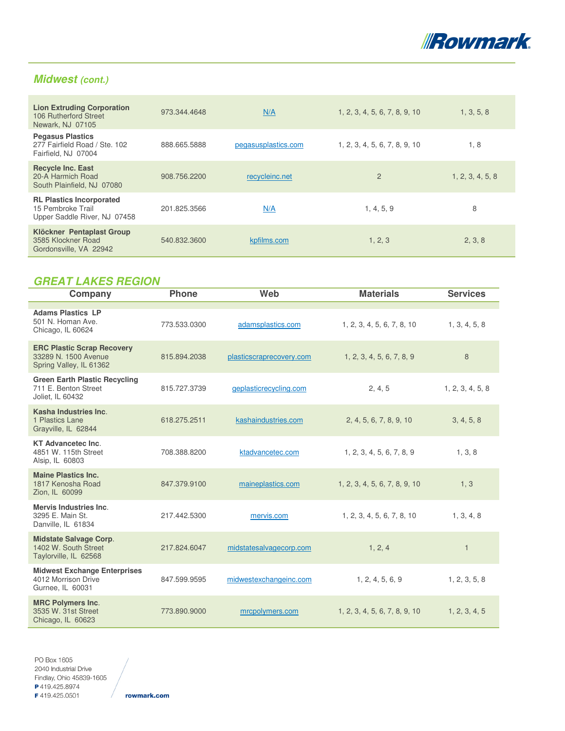

### **Midwest (cont.)**

| <b>Lion Extruding Corporation</b><br>106 Rutherford Street<br>Newark, NJ 07105       | 973.344.4648 | N/A                 | 1, 2, 3, 4, 5, 6, 7, 8, 9, 10 | 1, 3, 5, 8       |
|--------------------------------------------------------------------------------------|--------------|---------------------|-------------------------------|------------------|
| <b>Pegasus Plastics</b><br>277 Fairfield Road / Ste. 102<br>Fairfield, NJ 07004      | 888.665.5888 | pegasusplastics.com | 1, 2, 3, 4, 5, 6, 7, 8, 9, 10 | 1, 8             |
| <b>Recycle Inc. East</b><br>20-A Harmich Road<br>South Plainfield, NJ 07080          | 908.756.2200 | recycleinc.net      | $\overline{2}$                | 1, 2, 3, 4, 5, 8 |
| <b>RL Plastics Incorporated</b><br>15 Pembroke Trail<br>Upper Saddle River, NJ 07458 | 201.825.3566 | N/A                 | 1, 4, 5, 9                    | 8                |
| Klöckner Pentaplast Group<br>3585 Klockner Road<br>Gordonsville, VA 22942            | 540.832.3600 | kpfilms.com         | 1, 2, 3                       | 2, 3, 8          |

# **GREAT LAKES REGION**

| Company                                                                              | <b>Phone</b> | Web                      | <b>Materials</b>              | <b>Services</b>  |
|--------------------------------------------------------------------------------------|--------------|--------------------------|-------------------------------|------------------|
| <b>Adams Plastics LP</b><br>501 N. Homan Ave.<br>Chicago, IL 60624                   | 773.533.0300 | adamsplastics.com        | 1, 2, 3, 4, 5, 6, 7, 8, 10    | 1, 3, 4, 5, 8    |
| <b>ERC Plastic Scrap Recovery</b><br>33289 N. 1500 Avenue<br>Spring Valley, IL 61362 | 815.894.2038 | plasticscraprecovery.com | 1, 2, 3, 4, 5, 6, 7, 8, 9     | 8                |
| <b>Green Earth Plastic Recycling</b><br>711 E. Benton Street<br>Joliet, IL 60432     | 815.727.3739 | geplasticrecycling.com   | 2, 4, 5                       | 1, 2, 3, 4, 5, 8 |
| Kasha Industries Inc.<br>1 Plastics Lane<br>Grayville, IL 62844                      | 618.275.2511 | kashaindustries.com      | 2, 4, 5, 6, 7, 8, 9, 10       | 3, 4, 5, 8       |
| <b>KT Advancetec Inc.</b><br>4851 W. 115th Street<br>Alsip, IL 60803                 | 708.388.8200 | ktadvancetec.com         | 1, 2, 3, 4, 5, 6, 7, 8, 9     | 1, 3, 8          |
| <b>Maine Plastics Inc.</b><br>1817 Kenosha Road<br>Zion, IL 60099                    | 847.379.9100 | maineplastics.com        | 1, 2, 3, 4, 5, 6, 7, 8, 9, 10 | 1, 3             |
| <b>Mervis Industries Inc.</b><br>3295 E. Main St.<br>Danville, IL 61834              | 217.442.5300 | mervis.com               | 1, 2, 3, 4, 5, 6, 7, 8, 10    | 1, 3, 4, 8       |
| <b>Midstate Salvage Corp.</b><br>1402 W. South Street<br>Taylorville, IL 62568       | 217.824.6047 | midstatesalvagecorp.com  | 1, 2, 4                       | $\mathbf{1}$     |
| <b>Midwest Exchange Enterprises</b><br>4012 Morrison Drive<br>Gurnee, IL 60031       | 847.599.9595 | midwestexchangeinc.com   | 1, 2, 4, 5, 6, 9              | 1, 2, 3, 5, 8    |
| <b>MRC Polymers Inc.</b><br>3535 W. 31st Street<br>Chicago, IL 60623                 | 773.890.9000 | mrcpolymers.com          | 1, 2, 3, 4, 5, 6, 7, 8, 9, 10 | 1, 2, 3, 4, 5    |

PO Box 1605 2040 Industrial Drive Findlay, Ohio 45839-1605 P419.425.8974 F419.425.0501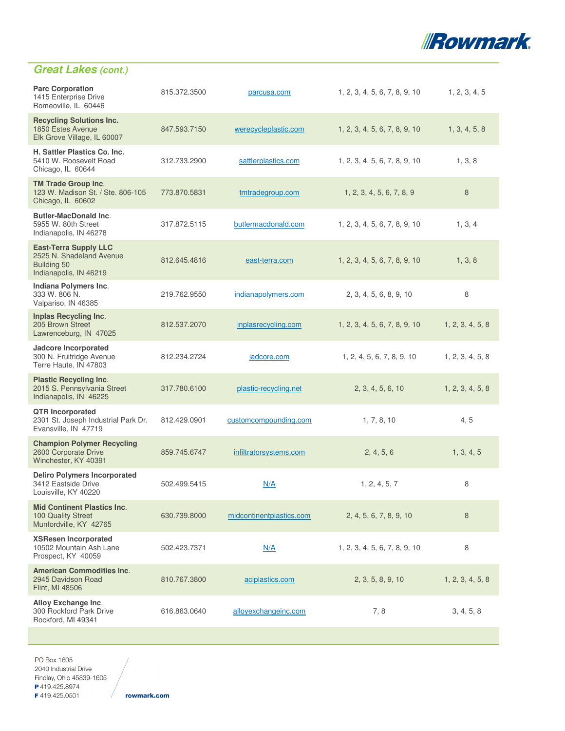

| <b>Parc Corporation</b><br>1415 Enterprise Drive<br>Romeoville, IL 60446                          | 815.372.3500 | parcusa.com              | 1, 2, 3, 4, 5, 6, 7, 8, 9, 10 | 1, 2, 3, 4, 5    |
|---------------------------------------------------------------------------------------------------|--------------|--------------------------|-------------------------------|------------------|
| <b>Recycling Solutions Inc.</b><br>1850 Estes Avenue<br>Elk Grove Village, IL 60007               | 847.593.7150 | werecycleplastic.com     | 1, 2, 3, 4, 5, 6, 7, 8, 9, 10 | 1, 3, 4, 5, 8    |
| H. Sattler Plastics Co. Inc.<br>5410 W. Roosevelt Road<br>Chicago, IL 60644                       | 312.733.2900 | sattlerplastics.com      | 1, 2, 3, 4, 5, 6, 7, 8, 9, 10 | 1, 3, 8          |
| <b>TM Trade Group Inc.</b><br>123 W. Madison St. / Ste. 806-105<br>Chicago, IL 60602              | 773.870.5831 | tmtradegroup.com         | 1, 2, 3, 4, 5, 6, 7, 8, 9     | 8                |
| <b>Butler-MacDonald Inc.</b><br>5955 W. 80th Street<br>Indianapolis, IN 46278                     | 317.872.5115 | butlermacdonald.com      | 1, 2, 3, 4, 5, 6, 7, 8, 9, 10 | 1, 3, 4          |
| <b>East-Terra Supply LLC</b><br>2525 N. Shadeland Avenue<br>Building 50<br>Indianapolis, IN 46219 | 812.645.4816 | east-terra.com           | 1, 2, 3, 4, 5, 6, 7, 8, 9, 10 | 1, 3, 8          |
| Indiana Polymers Inc.<br>333 W. 806 N.<br>Valpariso, IN 46385                                     | 219.762.9550 | indianapolymers.com      | 2, 3, 4, 5, 6, 8, 9, 10       | 8                |
| Inplas Recycling Inc.<br>205 Brown Street<br>Lawrenceburg, IN 47025                               | 812.537.2070 | inplasrecycling.com      | 1, 2, 3, 4, 5, 6, 7, 8, 9, 10 | 1, 2, 3, 4, 5, 8 |
| <b>Jadcore Incorporated</b><br>300 N. Fruitridge Avenue<br>Terre Haute, IN 47803                  | 812.234.2724 | jadcore.com              | 1, 2, 4, 5, 6, 7, 8, 9, 10    | 1, 2, 3, 4, 5, 8 |
| <b>Plastic Recycling Inc.</b><br>2015 S. Pennsylvania Street<br>Indianapolis, IN 46225            | 317.780.6100 | plastic-recycling.net    | 2, 3, 4, 5, 6, 10             | 1, 2, 3, 4, 5, 8 |
| <b>QTR Incorporated</b><br>2301 St. Joseph Industrial Park Dr.<br>Evansville, IN 47719            | 812.429.0901 | customcompounding.com    | 1, 7, 8, 10                   | 4, 5             |
| <b>Champion Polymer Recycling</b><br>2600 Corporate Drive<br>Winchester, KY 40391                 | 859.745.6747 | infiltratorsystems.com   | 2, 4, 5, 6                    | 1, 3, 4, 5       |
| <b>Deliro Polymers Incorporated</b><br>3412 Eastside Drive<br>Louisville, KY 40220                | 502.499.5415 | N/A                      | 1, 2, 4, 5, 7                 | 8                |
| <b>Mid Continent Plastics Inc.</b><br>100 Quality Street<br>Munfordville, KY 42765                | 630.739.8000 | midcontinentplastics.com | 2, 4, 5, 6, 7, 8, 9, 10       | $\boldsymbol{8}$ |
| <b>XSResen Incorporated</b><br>10502 Mountain Ash Lane<br>Prospect, KY 40059                      | 502.423.7371 | N/A                      | 1, 2, 3, 4, 5, 6, 7, 8, 9, 10 | 8                |
| <b>American Commodities Inc.</b><br>2945 Davidson Road<br>Flint, MI 48506                         | 810.767.3800 | aciplastics.com          | 2, 3, 5, 8, 9, 10             | 1, 2, 3, 4, 5, 8 |
| Alloy Exchange Inc.<br>300 Rockford Park Drive<br>Rockford, MI 49341                              | 616.863.0640 | alloyexchangeinc.com     | 7,8                           | 3, 4, 5, 8       |
|                                                                                                   |              |                          |                               |                  |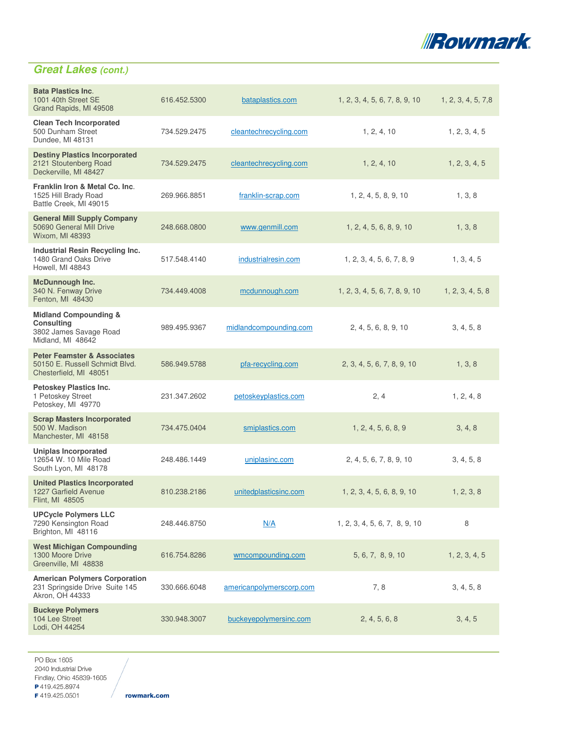

| <b>Bata Plastics Inc.</b><br>1001 40th Street SE<br>Grand Rapids, MI 49508                           | 616.452.5300 | bataplastics.com         | 1, 2, 3, 4, 5, 6, 7, 8, 9, 10 | 1, 2, 3, 4, 5, 7,8 |
|------------------------------------------------------------------------------------------------------|--------------|--------------------------|-------------------------------|--------------------|
| <b>Clean Tech Incorporated</b><br>500 Dunham Street<br>Dundee, MI 48131                              | 734.529.2475 | cleantechrecycling.com   | 1, 2, 4, 10                   | 1, 2, 3, 4, 5      |
| <b>Destiny Plastics Incorporated</b><br>2121 Stoutenberg Road<br>Deckerville, MI 48427               | 734.529.2475 | cleantechrecycling.com   | 1, 2, 4, 10                   | 1, 2, 3, 4, 5      |
| Franklin Iron & Metal Co. Inc.<br>1525 Hill Brady Road<br>Battle Creek, MI 49015                     | 269.966.8851 | franklin-scrap.com       | 1, 2, 4, 5, 8, 9, 10          | 1, 3, 8            |
| <b>General Mill Supply Company</b><br>50690 General Mill Drive<br>Wixom, MI 48393                    | 248.668.0800 | www.genmill.com          | 1, 2, 4, 5, 6, 8, 9, 10       | 1, 3, 8            |
| Industrial Resin Recycling Inc.<br>1480 Grand Oaks Drive<br>Howell, MI 48843                         | 517.548.4140 | industrialresin.com      | 1, 2, 3, 4, 5, 6, 7, 8, 9     | 1, 3, 4, 5         |
| <b>McDunnough Inc.</b><br>340 N. Fenway Drive<br>Fenton, MI 48430                                    | 734.449.4008 | mcdunnough.com           | 1, 2, 3, 4, 5, 6, 7, 8, 9, 10 | 1, 2, 3, 4, 5, 8   |
| <b>Midland Compounding &amp;</b><br><b>Consulting</b><br>3802 James Savage Road<br>Midland, MI 48642 | 989.495.9367 | midlandcompounding.com   | 2, 4, 5, 6, 8, 9, 10          | 3, 4, 5, 8         |
| <b>Peter Feamster &amp; Associates</b><br>50150 E. Russell Schmidt Blvd.<br>Chesterfield, MI 48051   | 586.949.5788 | pfa-recycling.com        | 2, 3, 4, 5, 6, 7, 8, 9, 10    | 1, 3, 8            |
| <b>Petoskey Plastics Inc.</b><br>1 Petoskey Street<br>Petoskey, MI 49770                             | 231.347.2602 | petoskeyplastics.com     | 2, 4                          | 1, 2, 4, 8         |
| <b>Scrap Masters Incorporated</b><br>500 W. Madison<br>Manchester, MI 48158                          | 734.475.0404 | smiplastics.com          | 1, 2, 4, 5, 6, 8, 9           | 3, 4, 8            |
| <b>Uniplas Incorporated</b><br>12654 W. 10 Mile Road<br>South Lyon, MI 48178                         | 248.486.1449 | uniplasinc.com           | 2, 4, 5, 6, 7, 8, 9, 10       | 3, 4, 5, 8         |
| <b>United Plastics Incorporated</b><br>1227 Garfield Avenue<br>Flint, MI 48505                       | 810.238.2186 | unitedplasticsinc.com    | 1, 2, 3, 4, 5, 6, 8, 9, 10    | 1, 2, 3, 8         |
| <b>UPCycle Polymers LLC</b><br>7290 Kensington Road<br>Brighton, MI 48116                            | 248.446.8750 | N/A                      | 1, 2, 3, 4, 5, 6, 7, 8, 9, 10 | 8                  |
| <b>West Michigan Compounding</b><br>1300 Moore Drive<br>Greenville, MI 48838                         | 616.754.8286 | wmcompounding.com        | 5, 6, 7, 8, 9, 10             | 1, 2, 3, 4, 5      |
| <b>American Polymers Corporation</b><br>231 Springside Drive Suite 145<br>Akron, OH 44333            | 330.666.6048 | americanpolymerscorp.com | 7,8                           | 3, 4, 5, 8         |
| <b>Buckeye Polymers</b><br>104 Lee Street<br>Lodi, OH 44254                                          | 330.948.3007 | buckeyepolymersinc.com   | 2, 4, 5, 6, 8                 | 3, 4, 5            |

PO Box 1605 2040 Industrial Drive Findlay, Ohio 45839-1605 P419.425.8974

F419.425.0501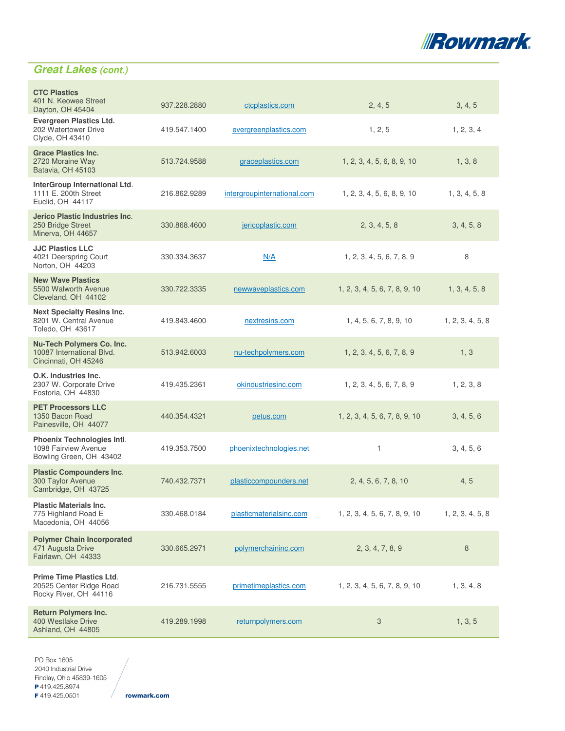

| <b>CTC Plastics</b><br>401 N. Keowee Street<br>Dayton, OH 45404                      | 937.228.2880 | ctcplastics.com             | 2, 4, 5                       | 3, 4, 5          |
|--------------------------------------------------------------------------------------|--------------|-----------------------------|-------------------------------|------------------|
| <b>Evergreen Plastics Ltd.</b><br>202 Watertower Drive<br>Clyde, OH 43410            | 419.547.1400 | evergreenplastics.com       | 1, 2, 5                       | 1, 2, 3, 4       |
| <b>Grace Plastics Inc.</b><br>2720 Moraine Way<br>Batavia, OH 45103                  | 513.724.9588 | graceplastics.com           | 1, 2, 3, 4, 5, 6, 8, 9, 10    | 1, 3, 8          |
| InterGroup International Ltd.<br>1111 E. 200th Street<br>Euclid, OH 44117            | 216.862.9289 | intergroupinternational.com | 1, 2, 3, 4, 5, 6, 8, 9, 10    | 1, 3, 4, 5, 8    |
| <b>Jerico Plastic Industries Inc.</b><br>250 Bridge Street<br>Minerva, OH 44657      | 330.868.4600 | jericoplastic.com           | 2, 3, 4, 5, 8                 | 3, 4, 5, 8       |
| <b>JJC Plastics LLC</b><br>4021 Deerspring Court<br>Norton, OH 44203                 | 330.334.3637 | N/A                         | 1, 2, 3, 4, 5, 6, 7, 8, 9     | 8                |
| <b>New Wave Plastics</b><br>5500 Walworth Avenue<br>Cleveland, OH 44102              | 330.722.3335 | newwaveplastics.com         | 1, 2, 3, 4, 5, 6, 7, 8, 9, 10 | 1, 3, 4, 5, 8    |
| <b>Next Specialty Resins Inc.</b><br>8201 W. Central Avenue<br>Toledo, OH 43617      | 419.843.4600 | nextresins.com              | 1, 4, 5, 6, 7, 8, 9, 10       | 1, 2, 3, 4, 5, 8 |
| Nu-Tech Polymers Co. Inc.<br>10087 International Blvd.<br>Cincinnati, OH 45246       | 513.942.6003 | nu-techpolymers.com         | 1, 2, 3, 4, 5, 6, 7, 8, 9     | 1, 3             |
| O.K. Industries Inc.<br>2307 W. Corporate Drive<br>Fostoria, OH 44830                | 419.435.2361 | okindustriesinc.com         | 1, 2, 3, 4, 5, 6, 7, 8, 9     | 1, 2, 3, 8       |
| <b>PET Processors LLC</b><br>1350 Bacon Road<br>Painesville, OH 44077                | 440.354.4321 | petus.com                   | 1, 2, 3, 4, 5, 6, 7, 8, 9, 10 | 3, 4, 5, 6       |
| <b>Phoenix Technologies Intl.</b><br>1098 Fairview Avenue<br>Bowling Green, OH 43402 | 419.353.7500 | phoenixtechnologies.net     | $\mathbf{1}$                  | 3, 4, 5, 6       |
| <b>Plastic Compounders Inc.</b><br>300 Taylor Avenue<br>Cambridge, OH 43725          | 740.432.7371 | plasticcompounders.net      | 2, 4, 5, 6, 7, 8, 10          | 4, 5             |
| <b>Plastic Materials Inc.</b><br>775 Highland Road E<br>Macedonia, OH 44056          | 330.468.0184 | plasticmaterialsinc.com     | 1, 2, 3, 4, 5, 6, 7, 8, 9, 10 | 1, 2, 3, 4, 5, 8 |
| <b>Polymer Chain Incorporated</b><br>471 Augusta Drive<br>Fairlawn, OH 44333         | 330.665.2971 | polymerchaininc.com         | 2, 3, 4, 7, 8, 9              | 8                |
| <b>Prime Time Plastics Ltd.</b><br>20525 Center Ridge Road<br>Rocky River, OH 44116  | 216.731.5555 | primetimeplastics.com       | 1, 2, 3, 4, 5, 6, 7, 8, 9, 10 | 1, 3, 4, 8       |
| <b>Return Polymers Inc.</b><br>400 Westlake Drive<br>Ashland, OH 44805               | 419.289.1998 | returnpolymers.com          | 3                             | 1, 3, 5          |

PO Box 1605 2040 Industrial Drive Findlay, Ohio 45839-1605 P419.425.8974 F419.425.0501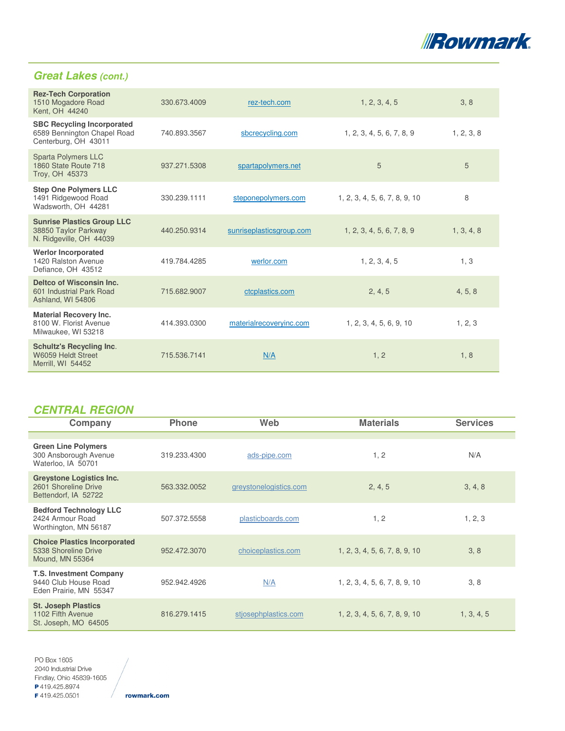

| <b>Rez-Tech Corporation</b><br>1510 Mogadore Road<br>Kent, OH 44240                      | 330.673.4009 | rez-tech.com             | 1, 2, 3, 4, 5                 | 3, 8       |
|------------------------------------------------------------------------------------------|--------------|--------------------------|-------------------------------|------------|
| <b>SBC Recycling Incorporated</b><br>6589 Bennington Chapel Road<br>Centerburg, OH 43011 | 740.893.3567 | sbcrecycling.com         | 1, 2, 3, 4, 5, 6, 7, 8, 9     | 1, 2, 3, 8 |
| <b>Sparta Polymers LLC</b><br>1860 State Route 718<br>Troy, OH 45373                     | 937.271.5308 | spartapolymers.net       | 5                             | 5          |
| <b>Step One Polymers LLC</b><br>1491 Ridgewood Road<br>Wadsworth, OH 44281               | 330.239.1111 | steponepolymers.com      | 1, 2, 3, 4, 5, 6, 7, 8, 9, 10 | 8          |
| <b>Sunrise Plastics Group LLC</b><br>38850 Taylor Parkway<br>N. Ridgeville, OH 44039     | 440.250.9314 | sunriseplasticsgroup.com | 1, 2, 3, 4, 5, 6, 7, 8, 9     | 1, 3, 4, 8 |
| <b>Werlor Incorporated</b><br>1420 Ralston Avenue<br>Defiance, OH 43512                  | 419.784.4285 | werlor.com               | 1, 2, 3, 4, 5                 | 1, 3       |
| Deltco of Wisconsin Inc.<br>601 Industrial Park Road<br>Ashland, WI 54806                | 715.682.9007 | ctcplastics.com          | 2, 4, 5                       | 4, 5, 8    |
| <b>Material Recovery Inc.</b><br>8100 W. Florist Avenue<br>Milwaukee, WI 53218           | 414.393.0300 | materialrecoveryinc.com  | 1, 2, 3, 4, 5, 6, 9, 10       | 1, 2, 3    |
| <b>Schultz's Recycling Inc.</b><br>W6059 Heldt Street<br>Merrill, WI 54452               | 715.536.7141 | N/A                      | 1, 2                          | 1, 8       |
|                                                                                          |              |                          |                               |            |

# **CENTRAL REGION**

| Company                                                                          | <b>Phone</b> | Web                    | <b>Materials</b>              | <b>Services</b> |
|----------------------------------------------------------------------------------|--------------|------------------------|-------------------------------|-----------------|
|                                                                                  |              |                        |                               |                 |
| <b>Green Line Polymers</b><br>300 Ansborough Avenue<br>Waterloo, IA 50701        | 319.233.4300 | ads-pipe.com           | 1, 2                          | N/A             |
| <b>Greystone Logistics Inc.</b><br>2601 Shoreline Drive<br>Bettendorf, IA 52722  | 563.332.0052 | greystonelogistics.com | 2, 4, 5                       | 3, 4, 8         |
| <b>Bedford Technology LLC</b><br>2424 Armour Road<br>Worthington, MN 56187       | 507.372.5558 | plasticboards.com      | 1, 2                          | 1, 2, 3         |
| <b>Choice Plastics Incorporated</b><br>5338 Shoreline Drive<br>Mound, MN 55364   | 952.472.3070 | choiceplastics.com     | 1, 2, 3, 4, 5, 6, 7, 8, 9, 10 | 3, 8            |
| <b>T.S. Investment Company</b><br>9440 Club House Road<br>Eden Prairie, MN 55347 | 952.942.4926 | N/A                    | 1, 2, 3, 4, 5, 6, 7, 8, 9, 10 | 3, 8            |
| <b>St. Joseph Plastics</b><br>1102 Fifth Avenue<br>St. Joseph, MO 64505          | 816.279.1415 | stjosephplastics.com   | 1, 2, 3, 4, 5, 6, 7, 8, 9, 10 | 1, 3, 4, 5      |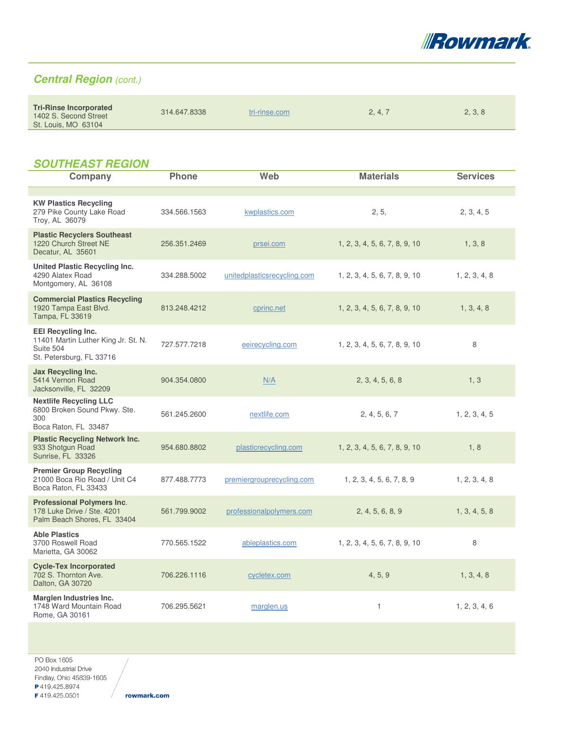

# **Central Region** (cont.)

|  | <b>Tri-Rinse Incorporated</b><br>1402 S. Second Street<br>St. Louis, MO 63104 | 314.647.8338 | tri-rinse.com | 2, 4, 7 | 2, 3, 8 |
|--|-------------------------------------------------------------------------------|--------------|---------------|---------|---------|
|--|-------------------------------------------------------------------------------|--------------|---------------|---------|---------|

### **SOUTHEAST REGION**

| Company                                                                                                   | <b>Phone</b> | Web                         | <b>Materials</b>              | <b>Services</b> |
|-----------------------------------------------------------------------------------------------------------|--------------|-----------------------------|-------------------------------|-----------------|
|                                                                                                           |              |                             |                               |                 |
| <b>KW Plastics Recycling</b><br>279 Pike County Lake Road<br>Troy, AL 36079                               | 334.566.1563 | kwplastics.com              | 2, 5,                         | 2, 3, 4, 5      |
| <b>Plastic Recyclers Southeast</b><br>1220 Church Street NE<br>Decatur, AL 35601                          | 256.351.2469 | prsei.com                   | 1, 2, 3, 4, 5, 6, 7, 8, 9, 10 | 1, 3, 8         |
| United Plastic Recycling Inc.<br>4290 Alatex Road<br>Montgomery, AL 36108                                 | 334.288.5002 | unitedplasticsrecycling.com | 1, 2, 3, 4, 5, 6, 7, 8, 9, 10 | 1, 2, 3, 4, 8   |
| <b>Commercial Plastics Recycling</b><br>1920 Tampa East Blvd.<br>Tampa, FL 33619                          | 813.248.4212 | cprinc.net                  | 1, 2, 3, 4, 5, 6, 7, 8, 9, 10 | 1, 3, 4, 8      |
| <b>EEI Recycling Inc.</b><br>11401 Martin Luther King Jr. St. N.<br>Suite 504<br>St. Petersburg, FL 33716 | 727.577.7218 | eeirecycling.com            | 1, 2, 3, 4, 5, 6, 7, 8, 9, 10 | 8               |
| Jax Recycling Inc.<br>5414 Vernon Road<br>Jacksonville, FL 32209                                          | 904.354.0800 | N/A                         | 2, 3, 4, 5, 6, 8              | 1, 3            |
| <b>Nextlife Recycling LLC</b><br>6800 Broken Sound Pkwy. Ste.<br>300<br>Boca Raton, FL 33487              | 561.245.2600 | nextlife.com                | 2, 4, 5, 6, 7                 | 1, 2, 3, 4, 5   |
| <b>Plastic Recycling Network Inc.</b><br>933 Shotgun Road<br>Sunrise, FL 33326                            | 954.680.8802 | plasticrecycling.com        | 1, 2, 3, 4, 5, 6, 7, 8, 9, 10 | 1, 8            |
| <b>Premier Group Recycling</b><br>21000 Boca Rio Road / Unit C4<br>Boca Raton, FL 33433                   | 877.488.7773 | premiergrouprecycling.com   | 1, 2, 3, 4, 5, 6, 7, 8, 9     | 1, 2, 3, 4, 8   |
| <b>Professional Polymers Inc.</b><br>178 Luke Drive / Ste. 4201<br>Palm Beach Shores, FL 33404            | 561.799.9002 | professionalpolymers.com    | 2, 4, 5, 6, 8, 9              | 1, 3, 4, 5, 8   |
| <b>Able Plastics</b><br>3700 Roswell Road<br>Marietta, GA 30062                                           | 770.565.1522 | ableplastics.com            | 1, 2, 3, 4, 5, 6, 7, 8, 9, 10 | 8               |
| <b>Cycle-Tex Incorporated</b><br>702 S. Thornton Ave.<br>Dalton, GA 30720                                 | 706.226.1116 | cycletex.com                | 4, 5, 9                       | 1, 3, 4, 8      |
| <b>Marglen Industries Inc.</b><br>1748 Ward Mountain Road<br>Rome, GA 30161                               | 706.295.5621 | marglen.us                  | $\mathbf{1}$                  | 1, 2, 3, 4, 6   |
|                                                                                                           |              |                             |                               |                 |

PO Box 1605 2040 Industrial Drive

Findlay, Ohio 45839-1605

P419.425.8974

F419.425.0501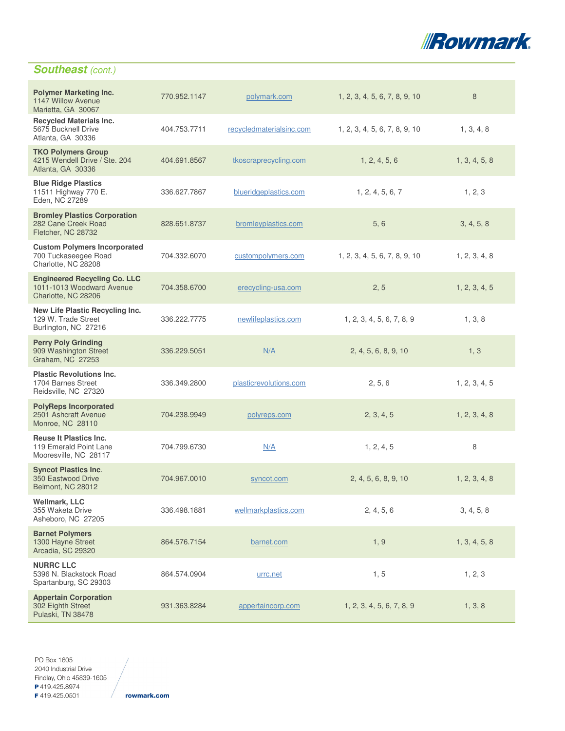

# **Southeast** (cont.)

| <b>Polymer Marketing Inc.</b><br>1147 Willow Avenue<br>Marietta, GA 30067               | 770.952.1147 | polymark.com             | 1, 2, 3, 4, 5, 6, 7, 8, 9, 10 | 8             |
|-----------------------------------------------------------------------------------------|--------------|--------------------------|-------------------------------|---------------|
| <b>Recycled Materials Inc.</b><br>5675 Bucknell Drive<br>Atlanta, GA 30336              | 404.753.7711 | recycledmaterialsinc.com | 1, 2, 3, 4, 5, 6, 7, 8, 9, 10 | 1, 3, 4, 8    |
| <b>TKO Polymers Group</b><br>4215 Wendell Drive / Ste. 204<br>Atlanta, GA 30336         | 404.691.8567 | tkoscraprecycling.com    | 1, 2, 4, 5, 6                 | 1, 3, 4, 5, 8 |
| <b>Blue Ridge Plastics</b><br>11511 Highway 770 E.<br>Eden, NC 27289                    | 336.627.7867 | blueridgeplastics.com    | 1, 2, 4, 5, 6, 7              | 1, 2, 3       |
| <b>Bromley Plastics Corporation</b><br>282 Cane Creek Road<br>Fletcher, NC 28732        | 828.651.8737 | bromleyplastics.com      | 5, 6                          | 3, 4, 5, 8    |
| <b>Custom Polymers Incorporated</b><br>700 Tuckaseegee Road<br>Charlotte, NC 28208      | 704.332.6070 | custompolymers.com       | 1, 2, 3, 4, 5, 6, 7, 8, 9, 10 | 1, 2, 3, 4, 8 |
| <b>Engineered Recycling Co. LLC</b><br>1011-1013 Woodward Avenue<br>Charlotte, NC 28206 | 704.358.6700 | erecycling-usa.com       | 2, 5                          | 1, 2, 3, 4, 5 |
| New Life Plastic Recycling Inc.<br>129 W. Trade Street<br>Burlington, NC 27216          | 336.222.7775 | newlifeplastics.com      | 1, 2, 3, 4, 5, 6, 7, 8, 9     | 1, 3, 8       |
| <b>Perry Poly Grinding</b><br>909 Washington Street<br>Graham, NC 27253                 | 336.229.5051 | N/A                      | 2, 4, 5, 6, 8, 9, 10          | 1, 3          |
| <b>Plastic Revolutions Inc.</b><br>1704 Barnes Street<br>Reidsville, NC 27320           | 336.349.2800 | plasticrevolutions.com   | 2, 5, 6                       | 1, 2, 3, 4, 5 |
| <b>PolyReps Incorporated</b><br>2501 Ashcraft Avenue<br>Monroe, NC 28110                | 704.238.9949 | polyreps.com             | 2, 3, 4, 5                    | 1, 2, 3, 4, 8 |
| <b>Reuse It Plastics Inc.</b><br>119 Emerald Point Lane<br>Mooresville, NC 28117        | 704.799.6730 | N/A                      | 1, 2, 4, 5                    | 8             |
| <b>Syncot Plastics Inc.</b><br>350 Eastwood Drive<br>Belmont, NC 28012                  | 704.967.0010 | syncot.com               | 2, 4, 5, 6, 8, 9, 10          | 1, 2, 3, 4, 8 |
| <b>Wellmark, LLC</b><br>355 Waketa Drive<br>Asheboro, NC 27205                          | 336.498.1881 | wellmarkplastics.com     | 2, 4, 5, 6                    | 3, 4, 5, 8    |
| <b>Barnet Polymers</b><br>1300 Hayne Street<br>Arcadia, SC 29320                        | 864.576.7154 | barnet.com               | 1, 9                          | 1, 3, 4, 5, 8 |
| <b>NURRC LLC</b><br>5396 N. Blackstock Road<br>Spartanburg, SC 29303                    | 864.574.0904 | urrc.net                 | 1, 5                          | 1, 2, 3       |
| <b>Appertain Corporation</b><br>302 Eighth Street<br>Pulaski, TN 38478                  | 931.363.8284 | appertaincorp.com        | 1, 2, 3, 4, 5, 6, 7, 8, 9     | 1, 3, 8       |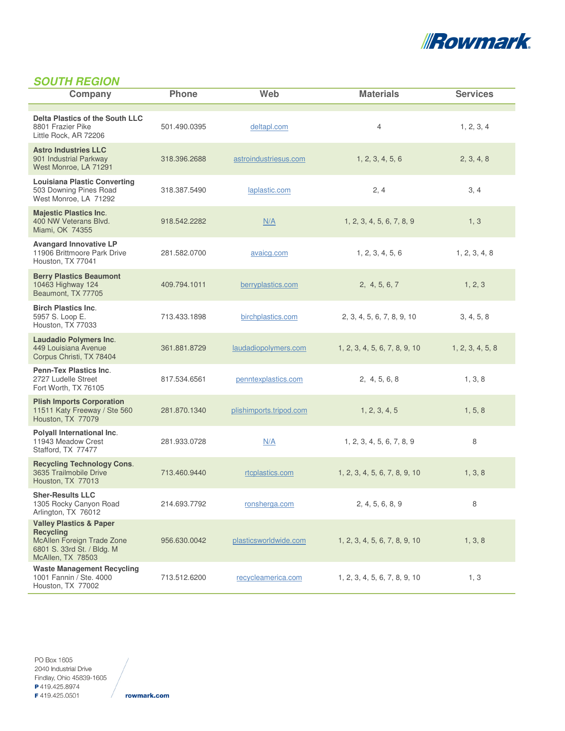

# **SOUTH REGION**

| Company                                                                                                                                        | <b>Phone</b> | Web                     | <b>Materials</b>              | <b>Services</b>  |
|------------------------------------------------------------------------------------------------------------------------------------------------|--------------|-------------------------|-------------------------------|------------------|
| Delta Plastics of the South LLC<br>8801 Frazier Pike<br>Little Rock, AR 72206                                                                  | 501.490.0395 | deltapl.com             | $\overline{4}$                | 1, 2, 3, 4       |
| <b>Astro Industries LLC</b><br>901 Industrial Parkway<br>West Monroe, LA 71291                                                                 | 318.396.2688 | astroindustriesus.com   | 1, 2, 3, 4, 5, 6              | 2, 3, 4, 8       |
| <b>Louisiana Plastic Converting</b><br>503 Downing Pines Road<br>West Monroe, LA 71292                                                         | 318.387.5490 | laplastic.com           | 2, 4                          | 3, 4             |
| <b>Majestic Plastics Inc.</b><br>400 NW Veterans Blvd.<br>Miami, OK 74355                                                                      | 918.542.2282 | N/A                     | 1, 2, 3, 4, 5, 6, 7, 8, 9     | 1, 3             |
| <b>Avangard Innovative LP</b><br>11906 Brittmoore Park Drive<br>Houston, TX 77041                                                              | 281.582.0700 | avaicg.com              | 1, 2, 3, 4, 5, 6              | 1, 2, 3, 4, 8    |
| <b>Berry Plastics Beaumont</b><br>10463 Highway 124<br>Beaumont, TX 77705                                                                      | 409.794.1011 | berryplastics.com       | 2, 4, 5, 6, 7                 | 1, 2, 3          |
| <b>Birch Plastics Inc.</b><br>5957 S. Loop E.<br>Houston, TX 77033                                                                             | 713.433.1898 | birchplastics.com       | 2, 3, 4, 5, 6, 7, 8, 9, 10    | 3, 4, 5, 8       |
| <b>Laudadio Polymers Inc.</b><br>449 Louisiana Avenue<br>Corpus Christi, TX 78404                                                              | 361.881.8729 | laudadiopolymers.com    | 1, 2, 3, 4, 5, 6, 7, 8, 9, 10 | 1, 2, 3, 4, 5, 8 |
| <b>Penn-Tex Plastics Inc.</b><br>2727 Ludelle Street<br>Fort Worth, TX 76105                                                                   | 817.534.6561 | penntexplastics.com     | 2, 4, 5, 6, 8                 | 1, 3, 8          |
| <b>Plish Imports Corporation</b><br>11511 Katy Freeway / Ste 560<br>Houston, TX 77079                                                          | 281.870.1340 | plishimports.tripod.com | 1, 2, 3, 4, 5                 | 1, 5, 8          |
| Polyall International Inc.<br>11943 Meadow Crest<br>Stafford, TX 77477                                                                         | 281.933.0728 | N/A                     | 1, 2, 3, 4, 5, 6, 7, 8, 9     | 8                |
| <b>Recycling Technology Cons.</b><br>3635 Trailmobile Drive<br>Houston, TX 77013                                                               | 713.460.9440 | rtcplastics.com         | 1, 2, 3, 4, 5, 6, 7, 8, 9, 10 | 1, 3, 8          |
| <b>Sher-Results LLC</b><br>1305 Rocky Canyon Road<br>Arlington, TX 76012                                                                       | 214.693.7792 | ronsherga.com           | 2, 4, 5, 6, 8, 9              | 8                |
| <b>Valley Plastics &amp; Paper</b><br><b>Recycling</b><br><b>McAllen Foreign Trade Zone</b><br>6801 S. 33rd St. / Bldg. M<br>McAllen, TX 78503 | 956.630.0042 | plasticsworldwide.com   | 1, 2, 3, 4, 5, 6, 7, 8, 9, 10 | 1, 3, 8          |
| <b>Waste Management Recycling</b><br>1001 Fannin / Ste. 4000<br>Houston, TX 77002                                                              | 713.512.6200 | recycleamerica.com      | 1, 2, 3, 4, 5, 6, 7, 8, 9, 10 | 1, 3             |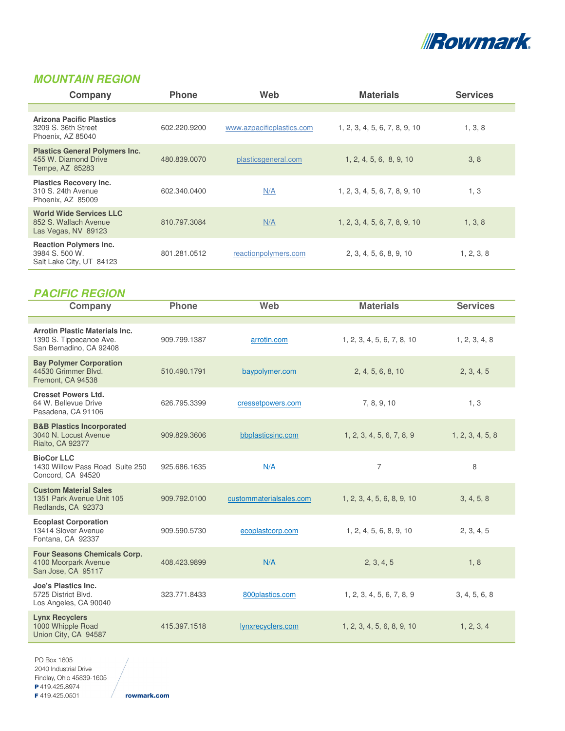

# **MOUNTAIN REGION**

| Company                                                                          | <b>Phone</b> | Web                       | <b>Materials</b>              | <b>Services</b> |
|----------------------------------------------------------------------------------|--------------|---------------------------|-------------------------------|-----------------|
|                                                                                  |              |                           |                               |                 |
| <b>Arizona Pacific Plastics</b><br>3209 S. 36th Street<br>Phoenix, AZ 85040      | 602.220.9200 | www.azpacificplastics.com | 1, 2, 3, 4, 5, 6, 7, 8, 9, 10 | 1, 3, 8         |
| <b>Plastics General Polymers Inc.</b><br>455 W. Diamond Drive<br>Tempe, AZ 85283 | 480.839.0070 | plasticsgeneral.com       | 1, 2, 4, 5, 6, 8, 9, 10       | 3, 8            |
| <b>Plastics Recovery Inc.</b><br>310 S. 24th Avenue<br>Phoenix, AZ 85009         | 602.340.0400 | N/A                       | 1, 2, 3, 4, 5, 6, 7, 8, 9, 10 | 1, 3            |
| <b>World Wide Services LLC</b><br>852 S. Wallach Avenue<br>Las Vegas, NV 89123   | 810.797.3084 | N/A                       | 1, 2, 3, 4, 5, 6, 7, 8, 9, 10 | 1, 3, 8         |
| <b>Reaction Polymers Inc.</b><br>3984 S. 500 W.<br>Salt Lake City, UT 84123      | 801.281.0512 | reactionpolymers.com      | 2, 3, 4, 5, 6, 8, 9, 10       | 1, 2, 3, 8      |

| <b>PACIFIC REGION</b>                                                                       |              |                         |                            |                  |
|---------------------------------------------------------------------------------------------|--------------|-------------------------|----------------------------|------------------|
| Company                                                                                     | <b>Phone</b> | Web                     | <b>Materials</b>           | <b>Services</b>  |
|                                                                                             |              |                         |                            |                  |
| <b>Arrotin Plastic Materials Inc.</b><br>1390 S. Tippecanoe Ave.<br>San Bernadino, CA 92408 | 909.799.1387 | arrotin.com             | 1, 2, 3, 4, 5, 6, 7, 8, 10 | 1, 2, 3, 4, 8    |
| <b>Bay Polymer Corporation</b><br>44530 Grimmer Blvd.<br>Fremont, CA 94538                  | 510.490.1791 | baypolymer.com          | 2, 4, 5, 6, 8, 10          | 2, 3, 4, 5       |
| <b>Cresset Powers Ltd.</b><br>64 W. Bellevue Drive<br>Pasadena, CA 91106                    | 626.795.3399 | cressetpowers.com       | 7, 8, 9, 10                | 1, 3             |
| <b>B&amp;B Plastics Incorporated</b><br>3040 N. Locust Avenue<br>Rialto, CA 92377           | 909.829.3606 | bbplasticsinc.com       | 1, 2, 3, 4, 5, 6, 7, 8, 9  | 1, 2, 3, 4, 5, 8 |
| <b>BioCor LLC</b><br>1430 Willow Pass Road Suite 250<br>Concord, CA 94520                   | 925.686.1635 | N/A                     | $\overline{7}$             | 8                |
| <b>Custom Material Sales</b><br>1351 Park Avenue Unit 105<br>Redlands, CA 92373             | 909.792.0100 | custommaterialsales.com | 1, 2, 3, 4, 5, 6, 8, 9, 10 | 3, 4, 5, 8       |
| <b>Ecoplast Corporation</b><br>13414 Slover Avenue<br>Fontana, CA 92337                     | 909.590.5730 | ecoplastcorp.com        | 1, 2, 4, 5, 6, 8, 9, 10    | 2, 3, 4, 5       |
| <b>Four Seasons Chemicals Corp.</b><br>4100 Moorpark Avenue<br>San Jose, CA 95117           | 408.423.9899 | N/A                     | 2, 3, 4, 5                 | 1, 8             |
| Joe's Plastics Inc.<br>5725 District Blvd.<br>Los Angeles, CA 90040                         | 323.771.8433 | 800plastics.com         | 1, 2, 3, 4, 5, 6, 7, 8, 9  | 3, 4, 5, 6, 8    |
| <b>Lynx Recyclers</b><br>1000 Whipple Road<br>Union City, CA 94587                          | 415.397.1518 | lynxrecyclers.com       | 1, 2, 3, 4, 5, 6, 8, 9, 10 | 1, 2, 3, 4       |

PO Box 1605 2040 Industrial Drive Findlay, Ohio 45839-1605 P419.425.8974 F419.425.0501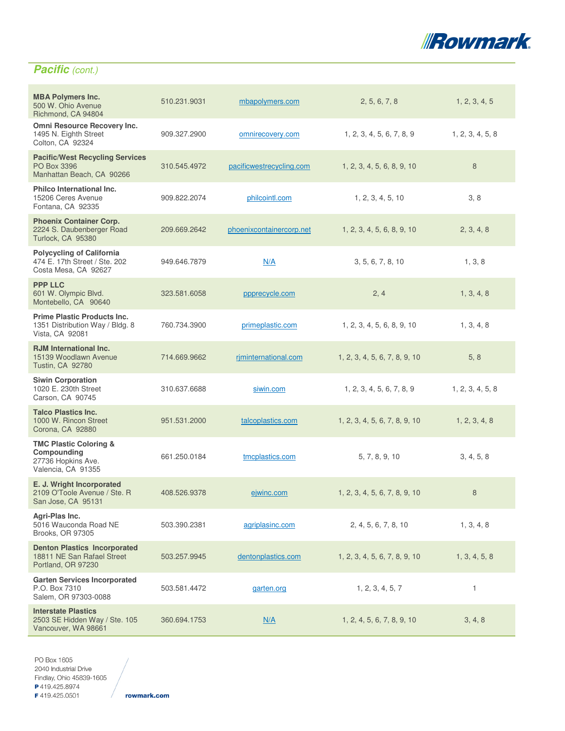

# **Pacific** (cont.)

| <b>MBA Polymers Inc.</b><br>500 W. Ohio Avenue<br>Richmond, CA 94804                         | 510.231.9031 | mbapolymers.com          | 2, 5, 6, 7, 8                 | 1, 2, 3, 4, 5    |
|----------------------------------------------------------------------------------------------|--------------|--------------------------|-------------------------------|------------------|
| Omni Resource Recovery Inc.<br>1495 N. Eighth Street<br>Colton, CA 92324                     | 909.327.2900 | omnirecovery.com         | 1, 2, 3, 4, 5, 6, 7, 8, 9     | 1, 2, 3, 4, 5, 8 |
| <b>Pacific/West Recycling Services</b><br>PO Box 3396<br>Manhattan Beach, CA 90266           | 310.545.4972 | pacificwestrecycling.com | 1, 2, 3, 4, 5, 6, 8, 9, 10    | 8                |
| <b>Philco International Inc.</b><br>15206 Ceres Avenue<br>Fontana, CA 92335                  | 909.822.2074 | philcointl.com           | 1, 2, 3, 4, 5, 10             | 3, 8             |
| <b>Phoenix Container Corp.</b><br>2224 S. Daubenberger Road<br>Turlock, CA 95380             | 209.669.2642 | phoenixcontainercorp.net | 1, 2, 3, 4, 5, 6, 8, 9, 10    | 2, 3, 4, 8       |
| <b>Polycycling of California</b><br>474 E. 17th Street / Ste. 202<br>Costa Mesa, CA 92627    | 949.646.7879 | N/A                      | 3, 5, 6, 7, 8, 10             | 1, 3, 8          |
| <b>PPP LLC</b><br>601 W. Olympic Blvd.<br>Montebello, CA 90640                               | 323.581.6058 | ppprecycle.com           | 2, 4                          | 1, 3, 4, 8       |
| <b>Prime Plastic Products Inc.</b><br>1351 Distribution Way / Bldg. 8<br>Vista, CA 92081     | 760.734.3900 | primeplastic.com         | 1, 2, 3, 4, 5, 6, 8, 9, 10    | 1, 3, 4, 8       |
| <b>RJM</b> International Inc.<br>15139 Woodlawn Avenue<br><b>Tustin, CA 92780</b>            | 714.669.9662 | riminternational.com     | 1, 2, 3, 4, 5, 6, 7, 8, 9, 10 | 5, 8             |
| <b>Siwin Corporation</b><br>1020 E. 230th Street<br>Carson, CA 90745                         | 310.637.6688 | siwin.com                | 1, 2, 3, 4, 5, 6, 7, 8, 9     | 1, 2, 3, 4, 5, 8 |
| <b>Talco Plastics Inc.</b><br>1000 W. Rincon Street<br>Corona, CA 92880                      | 951.531.2000 | talcoplastics.com        | 1, 2, 3, 4, 5, 6, 7, 8, 9, 10 | 1, 2, 3, 4, 8    |
| <b>TMC Plastic Coloring &amp;</b><br>Compounding<br>27736 Hopkins Ave.<br>Valencia, CA 91355 | 661.250.0184 | tmcplastics.com          | 5, 7, 8, 9, 10                | 3, 4, 5, 8       |
| E. J. Wright Incorporated<br>2109 O'Toole Avenue / Ste. R<br>San Jose, CA 95131              | 408.526.9378 | ejwinc.com               | 1, 2, 3, 4, 5, 6, 7, 8, 9, 10 | 8                |
| Agri-Plas Inc.<br>5016 Wauconda Road NE<br><b>Brooks, OR 97305</b>                           | 503.390.2381 | agriplasinc.com          | 2, 4, 5, 6, 7, 8, 10          | 1, 3, 4, 8       |
| <b>Denton Plastics Incorporated</b><br>18811 NE San Rafael Street<br>Portland, OR 97230      | 503.257.9945 | dentonplastics.com       | 1, 2, 3, 4, 5, 6, 7, 8, 9, 10 | 1, 3, 4, 5, 8    |
| <b>Garten Services Incorporated</b><br>P.O. Box 7310<br>Salem, OR 97303-0088                 | 503.581.4472 | garten.org               | 1, 2, 3, 4, 5, 7              | 1                |
| <b>Interstate Plastics</b><br>2503 SE Hidden Way / Ste. 105<br>Vancouver, WA 98661           | 360.694.1753 | N/A                      | 1, 2, 4, 5, 6, 7, 8, 9, 10    | 3, 4, 8          |

PO Box 1605 2040 Industrial Drive Findlay, Ohio 45839-1605 P419.425.8974 F419.425.0501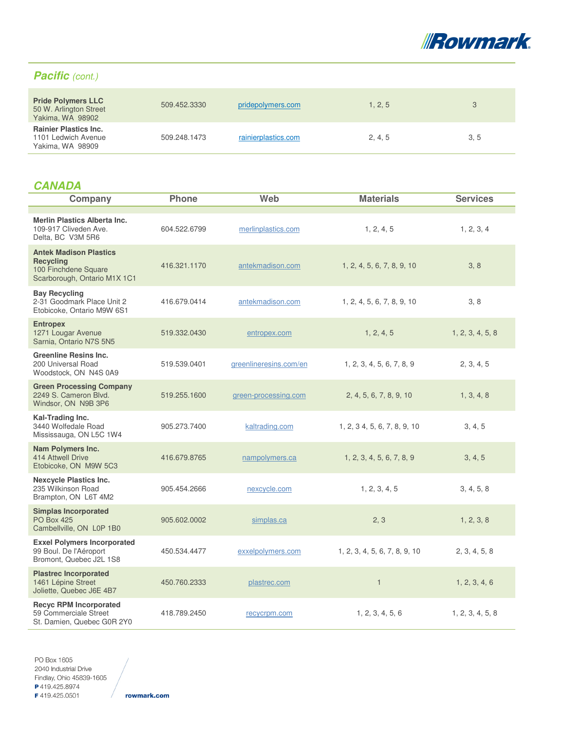

### Pacific (cont.)

| <b>Pride Polymers LLC</b><br>50 W. Arlington Street<br>Yakima, WA 98902 | 509.452.3330 | pridepolymers.com   | 1, 2, 5 | 3    |
|-------------------------------------------------------------------------|--------------|---------------------|---------|------|
| <b>Rainier Plastics Inc.</b><br>1101 Ledwich Avenue<br>Yakima, WA 98909 | 509.248.1473 | rainierplastics.com | 2, 4, 5 | 3, 5 |

# **CANADA**

| Company                                                                                                   | <b>Phone</b> | Web                    | <b>Materials</b>              | <b>Services</b>  |
|-----------------------------------------------------------------------------------------------------------|--------------|------------------------|-------------------------------|------------------|
| <b>Merlin Plastics Alberta Inc.</b><br>109-917 Cliveden Ave.<br>Delta, BC V3M 5R6                         | 604.522.6799 | merlinplastics.com     | 1, 2, 4, 5                    | 1, 2, 3, 4       |
| <b>Antek Madison Plastics</b><br><b>Recycling</b><br>100 Finchdene Square<br>Scarborough, Ontario M1X 1C1 | 416.321.1170 | antekmadison.com       | 1, 2, 4, 5, 6, 7, 8, 9, 10    | 3, 8             |
| <b>Bay Recycling</b><br>2-31 Goodmark Place Unit 2<br>Etobicoke, Ontario M9W 6S1                          | 416.679.0414 | antekmadison.com       | 1, 2, 4, 5, 6, 7, 8, 9, 10    | 3, 8             |
| <b>Entropex</b><br>1271 Lougar Avenue<br>Sarnia, Ontario N7S 5N5                                          | 519.332.0430 | entropex.com           | 1, 2, 4, 5                    | 1, 2, 3, 4, 5, 8 |
| <b>Greenline Resins Inc.</b><br>200 Universal Road<br>Woodstock, ON N4S 0A9                               | 519.539.0401 | greenlineresins.com/en | 1, 2, 3, 4, 5, 6, 7, 8, 9     | 2, 3, 4, 5       |
| <b>Green Processing Company</b><br>2249 S. Cameron Blvd.<br>Windsor, ON N9B 3P6                           | 519.255.1600 | green-processing.com   | 2, 4, 5, 6, 7, 8, 9, 10       | 1, 3, 4, 8       |
| Kal-Trading Inc.<br>3440 Wolfedale Road<br>Mississauga, ON L5C 1W4                                        | 905.273.7400 | kaltrading.com         | 1, 2, 3 4, 5, 6, 7, 8, 9, 10  | 3, 4, 5          |
| Nam Polymers Inc.<br>414 Attwell Drive<br>Etobicoke, ON M9W 5C3                                           | 416.679.8765 | nampolymers.ca         | 1, 2, 3, 4, 5, 6, 7, 8, 9     | 3, 4, 5          |
| <b>Nexcycle Plastics Inc.</b><br>235 Wilkinson Road<br>Brampton, ON L6T 4M2                               | 905.454.2666 | nexcycle.com           | 1, 2, 3, 4, 5                 | 3, 4, 5, 8       |
| <b>Simplas Incorporated</b><br><b>PO Box 425</b><br>Cambellville, ON L0P 1B0                              | 905.602.0002 | simplas.ca             | 2, 3                          | 1, 2, 3, 8       |
| <b>Exxel Polymers Incorporated</b><br>99 Boul. De l'Aéroport<br>Bromont, Quebec J2L 1S8                   | 450.534.4477 | exxelpolymers.com      | 1, 2, 3, 4, 5, 6, 7, 8, 9, 10 | 2, 3, 4, 5, 8    |
| <b>Plastrec Incorporated</b><br>1461 Lépine Street<br>Joliette, Quebec J6E 4B7                            | 450.760.2333 | plastrec.com           | $\mathbf{1}$                  | 1, 2, 3, 4, 6    |
| <b>Recyc RPM Incorporated</b><br>59 Commerciale Street<br>St. Damien, Quebec G0R 2Y0                      | 418.789.2450 | recycrpm.com           | 1, 2, 3, 4, 5, 6              | 1, 2, 3, 4, 5, 8 |

PO Box 1605 2040 Industrial Drive Findlay, Ohio 45839-1605 P419.425.8974 F419.425.0501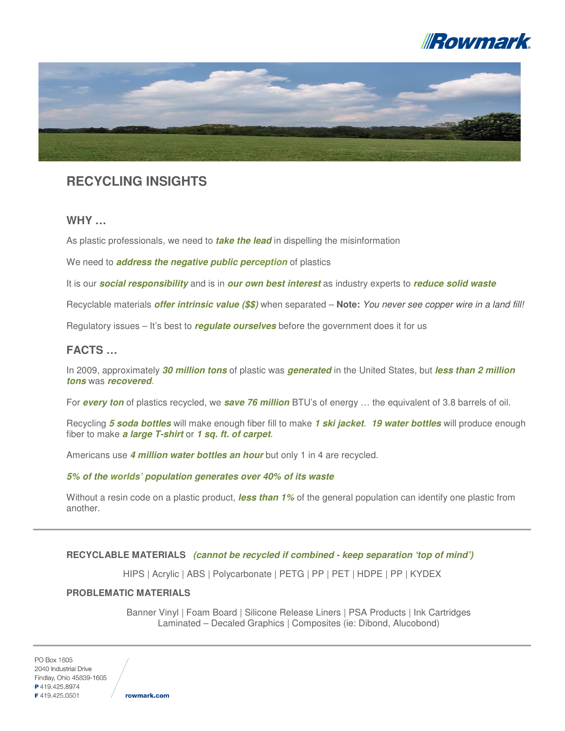



# **RECYCLING INSIGHTS**

### **WHY …**

As plastic professionals, we need to **take the lead** in dispelling the misinformation

We need to **address the negative public perception** of plastics

It is our **social responsibility** and is in **our own best interest** as industry experts to **reduce solid waste**

Recyclable materials **offer intrinsic value (\$\$)** when separated – **Note:** You never see copper wire in a land fill!

Regulatory issues – It's best to **regulate ourselves** before the government does it for us

### **FACTS …**

In 2009, approximately **30 million tons** of plastic was **generated** in the United States, but **less than 2 million tons** was **recovered**.

For **every ton** of plastics recycled, we **save 76 million** BTU's of energy … the equivalent of 3.8 barrels of oil.

Recycling **5 soda bottles** will make enough fiber fill to make **1 ski jacket**. **19 water bottles** will produce enough fiber to make **a large T-shirt** or **1 sq. ft. of carpet**.

Americans use **4 million water bottles an hour** but only 1 in 4 are recycled.

#### **5% of the worlds' population generates over 40% of its waste**

Without a resin code on a plastic product, **less than 1%** of the general population can identify one plastic from another.

#### **RECYCLABLE MATERIALS (cannot be recycled if combined - keep separation 'top of mind')**

HIPS | Acrylic | ABS | Polycarbonate | PETG | PP | PET | HDPE | PP | KYDEX

#### **PROBLEMATIC MATERIALS**

Banner Vinyl | Foam Board | Silicone Release Liners | PSA Products | Ink Cartridges Laminated – Decaled Graphics | Composites (ie: Dibond, Alucobond)

PO Box 1605 2040 Industrial Drive Findlay, Ohio 45839-1605 P419.425.8974 F4194250501